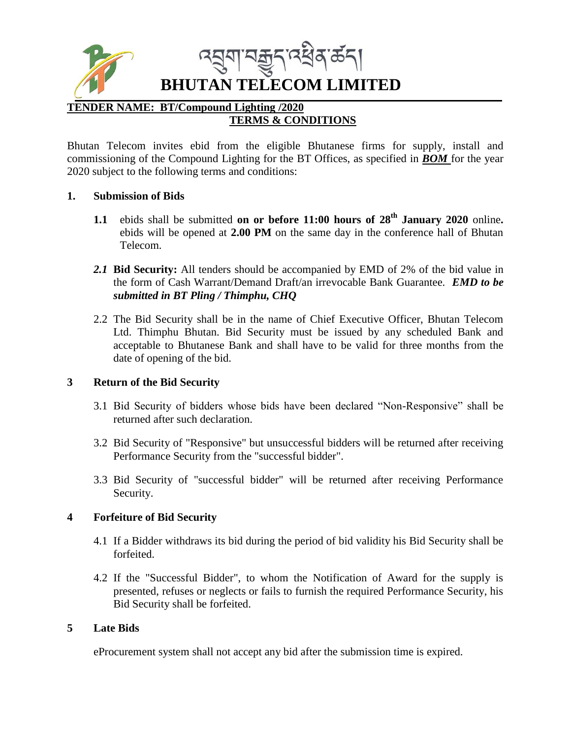

# **BHUTAN TELECOM LIMITED**

#### **TENDER NAME: BT/Compound Lighting /2020 TERMS & CONDITIONS**

Bhutan Telecom invites ebid from the eligible Bhutanese firms for supply, install and commissioning of the Compound Lighting for the BT Offices, as specified in *BOM* for the year 2020 subject to the following terms and conditions:

# **1. Submission of Bids**

- **1.1** ebids shall be submitted **on or before 11:00 hours of 28th January 2020** online**.** ebids will be opened at **2.00 PM** on the same day in the conference hall of Bhutan Telecom.
- *2.1* **Bid Security:** All tenders should be accompanied by EMD of 2% of the bid value in the form of Cash Warrant/Demand Draft/an irrevocable Bank Guarantee. *EMD to be submitted in BT Pling / Thimphu, CHQ*
- 2.2 The Bid Security shall be in the name of Chief Executive Officer, Bhutan Telecom Ltd. Thimphu Bhutan. Bid Security must be issued by any scheduled Bank and acceptable to Bhutanese Bank and shall have to be valid for three months from the date of opening of the bid.

# **3 Return of the Bid Security**

- 3.1 Bid Security of bidders whose bids have been declared "Non-Responsive" shall be returned after such declaration.
- 3.2 Bid Security of "Responsive" but unsuccessful bidders will be returned after receiving Performance Security from the "successful bidder".
- 3.3 Bid Security of "successful bidder" will be returned after receiving Performance Security.

# **4 Forfeiture of Bid Security**

- 4.1 If a Bidder withdraws its bid during the period of bid validity his Bid Security shall be forfeited.
- 4.2 If the "Successful Bidder", to whom the Notification of Award for the supply is presented, refuses or neglects or fails to furnish the required Performance Security, his Bid Security shall be forfeited.

#### **5 Late Bids**

eProcurement system shall not accept any bid after the submission time is expired.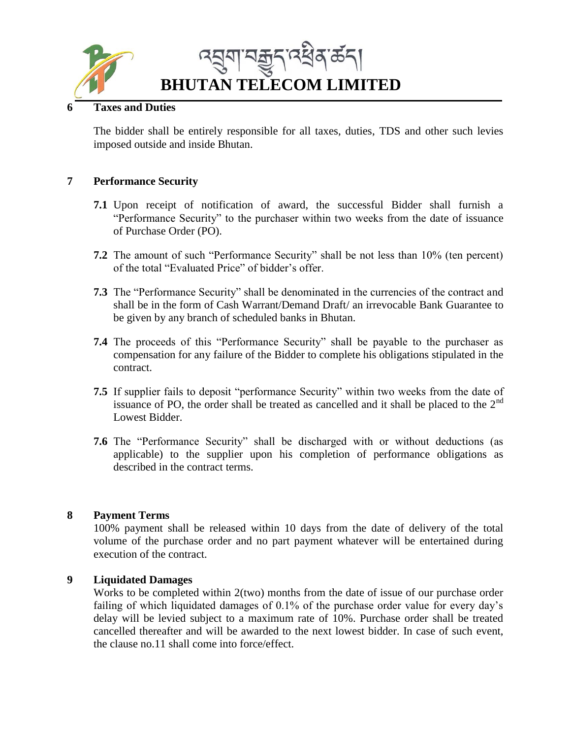

# **6 Taxes and Duties**

The bidder shall be entirely responsible for all taxes, duties, TDS and other such levies imposed outside and inside Bhutan.

#### **7 Performance Security**

- **7.1** Upon receipt of notification of award, the successful Bidder shall furnish a "Performance Security" to the purchaser within two weeks from the date of issuance of Purchase Order (PO).
- **7.2** The amount of such "Performance Security" shall be not less than 10% (ten percent) of the total "Evaluated Price" of bidder's offer.
- **7.3** The "Performance Security" shall be denominated in the currencies of the contract and shall be in the form of Cash Warrant/Demand Draft/ an irrevocable Bank Guarantee to be given by any branch of scheduled banks in Bhutan.
- **7.4** The proceeds of this "Performance Security" shall be payable to the purchaser as compensation for any failure of the Bidder to complete his obligations stipulated in the contract.
- **7.5** If supplier fails to deposit "performance Security" within two weeks from the date of issuance of PO, the order shall be treated as cancelled and it shall be placed to the  $2<sup>nd</sup>$ Lowest Bidder.
- **7.6** The "Performance Security" shall be discharged with or without deductions (as applicable) to the supplier upon his completion of performance obligations as described in the contract terms.

#### **8 Payment Terms**

100% payment shall be released within 10 days from the date of delivery of the total volume of the purchase order and no part payment whatever will be entertained during execution of the contract.

#### **9 Liquidated Damages**

Works to be completed within 2(two) months from the date of issue of our purchase order failing of which liquidated damages of 0.1% of the purchase order value for every day's delay will be levied subject to a maximum rate of 10%. Purchase order shall be treated cancelled thereafter and will be awarded to the next lowest bidder. In case of such event, the clause no.11 shall come into force/effect.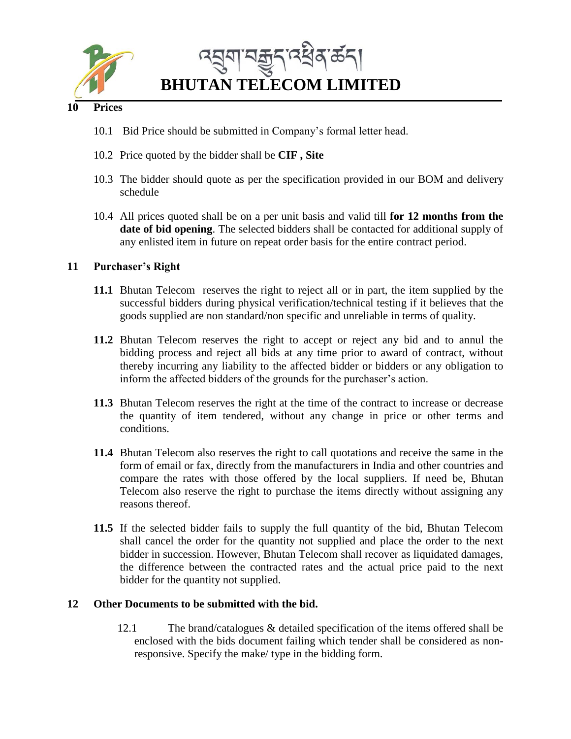

**BHUTAN TELECOM LIMITED**

# **10 Prices**

- 10.1 Bid Price should be submitted in Company's formal letter head.
- 10.2 Price quoted by the bidder shall be **CIF , Site**
- 10.3 The bidder should quote as per the specification provided in our BOM and delivery schedule
- 10.4 All prices quoted shall be on a per unit basis and valid till **for 12 months from the date of bid opening**. The selected bidders shall be contacted for additional supply of any enlisted item in future on repeat order basis for the entire contract period.

# **11 Purchaser's Right**

- **11.1** Bhutan Telecom reserves the right to reject all or in part, the item supplied by the successful bidders during physical verification/technical testing if it believes that the goods supplied are non standard/non specific and unreliable in terms of quality.
- **11.2** Bhutan Telecom reserves the right to accept or reject any bid and to annul the bidding process and reject all bids at any time prior to award of contract, without thereby incurring any liability to the affected bidder or bidders or any obligation to inform the affected bidders of the grounds for the purchaser's action.
- **11.3** Bhutan Telecom reserves the right at the time of the contract to increase or decrease the quantity of item tendered, without any change in price or other terms and conditions.
- **11.4** Bhutan Telecom also reserves the right to call quotations and receive the same in the form of email or fax, directly from the manufacturers in India and other countries and compare the rates with those offered by the local suppliers. If need be, Bhutan Telecom also reserve the right to purchase the items directly without assigning any reasons thereof.
- **11.5** If the selected bidder fails to supply the full quantity of the bid, Bhutan Telecom shall cancel the order for the quantity not supplied and place the order to the next bidder in succession. However, Bhutan Telecom shall recover as liquidated damages, the difference between the contracted rates and the actual price paid to the next bidder for the quantity not supplied.

# **12 Other Documents to be submitted with the bid.**

12.1 The brand/catalogues & detailed specification of the items offered shall be enclosed with the bids document failing which tender shall be considered as nonresponsive. Specify the make/ type in the bidding form.